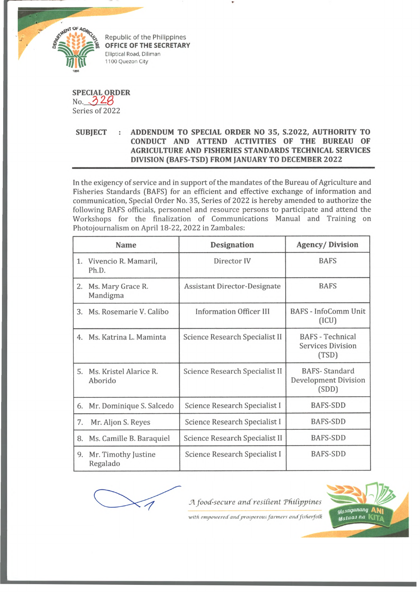

Republic of the Philippines **OFFICE OF THE SECRETARY** Elliptical Road, Diliman 1100 Quezon City

**SPECIAL ORDER** No. *-3.Z0* Series of 2022

## **SUBJECT : ADDENDUM TO SPECIAL ORDER NO 35, S.2022, AUTHORITY TO CONDUCT AND ATTEND ACTIVITIES OF THE BUREAU OF AGRICULTURE AND FISHERIES STANDARDS TECHNICAL SERVICES DIVISION (BAFS-TSD) FROM JANUARY TO DECEMBER 2022**

In the exigency of service and in support of the mandates of the Bureau of Agriculture and Fisheries Standards (BAFS) for an efficient and effective exchange of information and communication, Special Order No. 35, Series of 2022 is hereby amended to authorize the following BAFS officials, personnel and resource persons to participate and attend the Workshops for the finalization of Communications Manual and Training on Photojournalism on April 18-22, 2022 in Zambales:

| <b>Name</b> |                                   | <b>Designation</b>                  | <b>Agency/Division</b>                                       |
|-------------|-----------------------------------|-------------------------------------|--------------------------------------------------------------|
|             | 1. Vivencio R. Mamaril,<br>Ph.D.  | Director IV                         | <b>BAFS</b>                                                  |
| 2.          | Ms. Mary Grace R.<br>Mandigma     | <b>Assistant Director-Designate</b> | <b>BAFS</b>                                                  |
| 3.          | Ms. Rosemarie V. Calibo           | <b>Information Officer III</b>      | <b>BAFS - InfoComm Unit</b><br>(ICU)                         |
| 4.          | Ms. Katrina L. Maminta            | Science Research Specialist II      | <b>BAFS</b> - Technical<br><b>Services Division</b><br>(TSD) |
| 5.          | Ms. Kristel Alarice R.<br>Aborido | Science Research Specialist II      | <b>BAFS-Standard</b><br><b>Development Division</b><br>(SDD) |
| 6.          | Mr. Dominique S. Salcedo          | Science Research Specialist I       | <b>BAFS-SDD</b>                                              |
| 7.          | Mr. Aljon S. Reyes                | Science Research Specialist I       | BAFS-SDD                                                     |
| 8.          | Ms. Camille B. Baraquiel          | Science Research Specialist II      | <b>BAFS-SDD</b>                                              |
| 9.          | Mr. Timothy Justine<br>Regalado   | Science Research Specialist I       | <b>BAFS-SDD</b>                                              |



A food-secure and resilient Philippines



with empowered and prosperous farmers and fisherfolk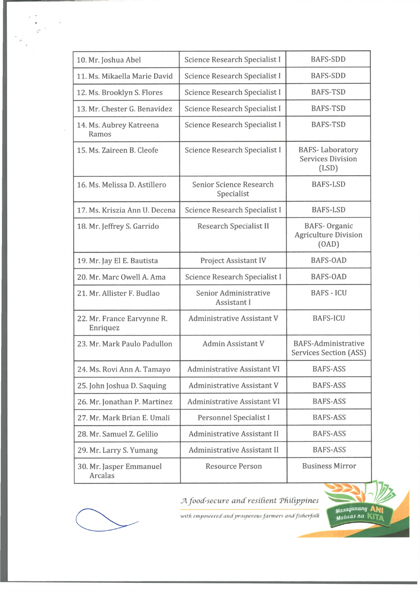| 10. Mr. Joshua Abel                    | Science Research Specialist I         | <b>BAFS-SDD</b>                                             |
|----------------------------------------|---------------------------------------|-------------------------------------------------------------|
| 11. Ms. Mikaella Marie David           | Science Research Specialist I         | <b>BAFS-SDD</b>                                             |
| 12. Ms. Brooklyn S. Flores             | Science Research Specialist I         | <b>BAFS-TSD</b>                                             |
| 13. Mr. Chester G. Benavidez           | Science Research Specialist I         | <b>BAFS-TSD</b>                                             |
| 14. Ms. Aubrey Katreena<br>Ramos       | Science Research Specialist I         | <b>BAFS-TSD</b>                                             |
| 15. Ms. Zaireen B. Cleofe              | Science Research Specialist I         | <b>BAFS-Laboratory</b><br><b>Services Division</b><br>(LSD) |
| 16. Ms. Melissa D. Astillero           | Senior Science Research<br>Specialist | <b>BAFS-LSD</b>                                             |
| 17. Ms. Kriszia Ann U. Decena          | Science Research Specialist I         | <b>BAFS-LSD</b>                                             |
| 18. Mr. Jeffrey S. Garrido             | <b>Research Specialist II</b>         | <b>BAFS-Organic</b><br><b>Agriculture Division</b><br>(OAD) |
| 19. Mr. Jay El E. Bautista             | Project Assistant IV                  | <b>BAFS-OAD</b>                                             |
| 20. Mr. Marc Owell A. Ama              | Science Research Specialist I         | <b>BAFS-OAD</b>                                             |
| 21. Mr. Allister F. Budlao             | Senior Administrative<br>Assistant I  | <b>BAFS - ICU</b>                                           |
| 22. Mr. France Earvynne R.<br>Enriquez | <b>Administrative Assistant V</b>     | <b>BAFS-ICU</b>                                             |
| 23. Mr. Mark Paulo Padullon            | Admin Assistant V                     | <b>BAFS-Administrative</b><br><b>Services Section (ASS)</b> |
| 24. Ms. Rovi Ann A. Tamayo             | <b>Administrative Assistant VI</b>    | <b>BAFS-ASS</b>                                             |
| 25. John Joshua D. Saquing             | <b>Administrative Assistant V</b>     | <b>BAFS-ASS</b>                                             |
| 26. Mr. Jonathan P. Martinez           | <b>Administrative Assistant VI</b>    | <b>BAFS-ASS</b>                                             |
| 27. Mr. Mark Brian E. Umali            | Personnel Specialist I                | <b>BAFS-ASS</b>                                             |
| 28. Mr. Samuel Z. Gelilio              | <b>Administrative Assistant II</b>    | <b>BAFS-ASS</b>                                             |
| 29. Mr. Larry S. Yumang                | <b>Administrative Assistant II</b>    | <b>BAFS-ASS</b>                                             |
| 30. Mr. Jasper Emmanuel<br>Arcalas     | <b>Resource Person</b>                | <b>Business Mirror</b>                                      |



 $\frac{1}{\sqrt{2}}$  .

A food-secure and resilient Philippines



with empowered and prosperous farmers and fisherfolk